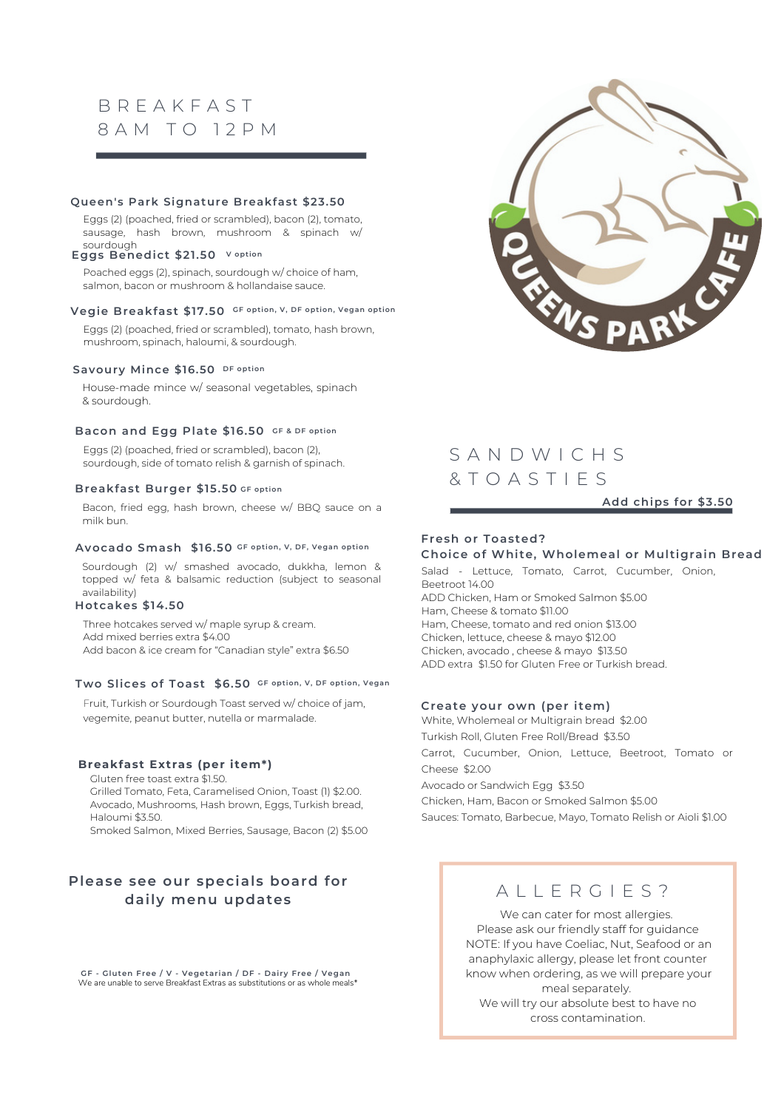# B R E A K F A S T 8 A M T O 12 P M

#### **Queen's Park Signature Breakfast \$23.50**

Eggs (2) (poached, fried or scrambled), bacon (2), tomato, sausage, hash brown, mushroom & spinach w/ sourdough

#### **Eggs Benedict \$21.50 V opt ion**

Poached eggs (2), spinach, sourdough w/ choice of ham, salmon, bacon or mushroom & hollandaise sauce.

#### **Vegie Breakfast \$17.50 GF opt ion, V, DF opt ion, Vegan opt ion**

Eggs (2) (poached, fried or scrambled), tomato, hash brown, mushroom, spinach, haloumi, & sourdough.

#### **DF opt ion Savoury Mince \$16.50**

House-made mince w/ seasonal vegetables, spinach & sourdough.

#### **Bacon and Egg Plate \$16.50 GF & DF opt ion**

Eggs (2) (poached, fried or scrambled), bacon (2), sourdough, side of tomato relish & garnish of spinach.

#### **Breakfast Burger \$15.50 GF opt ion**

Bacon, fried egg, hash brown, cheese w/ BBQ sauce on a milk bun.

#### **Avocado Smash \$16.50 GF opt ion, V, DF, Vegan opt ion**

Sourdough (2) w/ smashed avocado, dukkha, lemon & topped w/ feta & balsamic reduction (subject to seasonal availability)

#### **Hotcakes \$14.50**

Three hotcakes served w/ maple syrup & cream. Add mixed berries extra \$4.00 Add bacon & ice cream for "Canadian style" extra \$6.50

#### **Two Slices of Toast \$6.50 GF opt ion, V, DF opt ion, Vegan**

Fruit, Turkish or Sourdough Toast served w/ choice of jam, vegemite, peanut butter, nutella or marmalade.

#### **Breakfast Extras (per item\*)**

Gluten free toast extra \$1.50. Grilled Tomato, Feta, Caramelised Onion, Toast (1) \$2.00. Avocado, Mushrooms, Hash brown, Eggs, Turkish bread, Haloumi \$3.50.

Smoked Salmon, Mixed Berries, Sausage, Bacon (2) \$5.00

### **Please see our specials board for daily menu updates**

**GF - Gluten Free / V - Vegetar ian / DF - Dai ry Free / Vegan** We are unable to serve Breakfast Extras as substitutions or as whole meals\*



# S A N D W I C H S & T O A S T I E S

#### **Add chips for \$3.50**

#### **Fresh or Toasted? Choice of Whi te, Wholemeal or Mul t igrain Bread**

Salad - Lettuce, Tomato, Carrot, Cucumber, Onion, Beetroot 14.00 ADD Chicken, Ham or Smoked Salmon \$5.00 Ham, Cheese & tomato \$11.00 Ham, Cheese, tomato and red onion \$13.00 Chicken, lettuce, cheese & mayo \$12.00 Chicken, avocado , cheese & mayo \$13.50 ADD extra \$1.50 for Gluten Free or Turkish bread.

#### **Create your own (per i tem)**

White, Wholemeal or Multigrain bread \$2.00 Turkish Roll, Gluten Free Roll/Bread \$3.50 Carrot, Cucumber, Onion, Lettuce, Beetroot, Tomato or Cheese \$2.00 Avocado or Sandwich Egg \$3.50 Chicken, Ham, Bacon or Smoked Salmon \$5.00 Sauces: Tomato, Barbecue, Mayo, Tomato Relish or Aioli \$1.00

### A I I F R G I F S ?

We can cater for most allergies. Please ask our friendly staff for guidance NOTE: If you have Coeliac, Nut, Seafood or an anaphylaxic allergy, please let front counter know when ordering, as we will prepare your meal separately. We will try our absolute best to have no

cross contamination.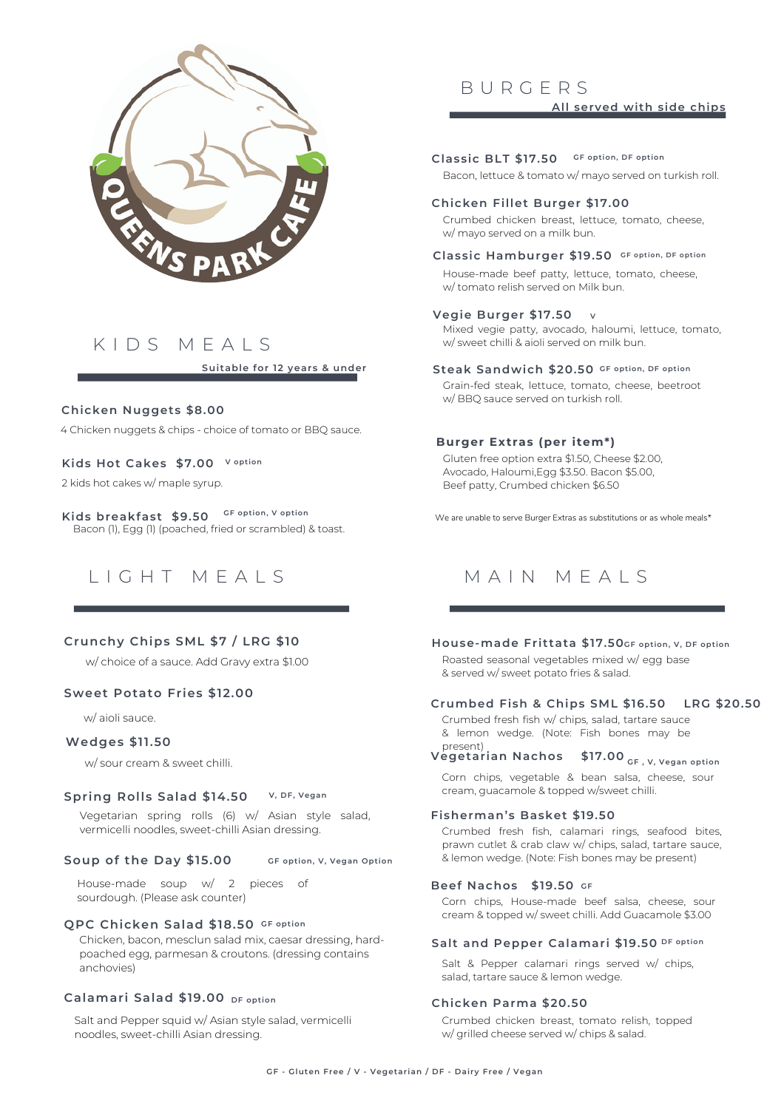

# K I D S M E A L S

**Sui table for 12 years & under**

#### **Chicken Nuggets \$8.00**

4 Chicken nuggets & chips - choice of tomato or BBQ sauce.

### **V opt ion Kids Hot Cakes \$7.00**

2 kids hot cakes w/ maple syrup.

Bacon (1), Egg (1) (poached, fried or scrambled) & toast. **Kids breakfast \$9.50 GF opt ion, V opt ion**



### **Crunchy Chips SML \$7 / LRG \$10**

w/ choice of a sauce. Add Gravy extra \$1.00

#### **Sweet Potato Fr ies \$12.00**

w/ aioli sauce.

#### **Wedges \$11.50**

w/ sour cream & sweet chilli.

#### **V, DF, Vegan Spr ing Rolls Salad \$14.50**

Vegetarian spring rolls (6) w/ Asian style salad, vermicelli noodles, sweet-chilli Asian dressing.

#### **GF opt ion, V, Vegan Opt ion Soup of the Day \$15.00**

House-made soup w/ 2 pieces of sourdough. (Please ask counter)

#### **GF opt ion QPC Chicken Salad \$18.50**

Chicken, bacon, mesclun salad mix, caesar dressing, hardpoached egg, parmesan & croutons. (dressing contains anchovies)

#### **DF opt ion Calamar i Salad \$19.00**

Salt and Pepper squid w/ Asian style salad, vermicelli noodles, sweet-chilli Asian dressing.

### B U R G E R S **All served wi th side chips**

Bacon, lettuce & tomato w/ mayo served on turkish roll. **GF opt ion, DF opt ion Classic BLT \$17.50**

#### **Chicken Fillet Burger \$17.00**

Crumbed chicken breast, lettuce, tomato, cheese, w/ mayo served on a milk bun.

#### **Classic Hamburger \$19.50 GF opt ion, DF opt ion**

House-made beef patty, lettuce, tomato, cheese, w/ tomato relish served on Milk bun.

#### **V Vegie Burger \$17.50**

Mixed vegie patty, avocado, haloumi, lettuce, tomato, w/ sweet chilli & aioli served on milk bun.

#### **GF opt ion, DF opt ion Steak Sandwich \$20.50**

Grain-fed steak, lettuce, tomato, cheese, beetroot w/ BBQ sauce served on turkish roll.

#### **Burger Extras (per item\*)**

Gluten free option extra \$1.50, Cheese \$2.00, Avocado, Haloumi,Egg \$3.50. Bacon \$5.00, Beef patty, Crumbed chicken \$6.50

We are unable to serve Burger Extras as substitutions or as whole meals\*

## MAIN MFAIS

### **GF opt ion, V, DF opt ion House-made Fr i t tata \$17.50**

Roasted seasonal vegetables mixed w/ egg base & served w/ sweet potato fries & salad.

#### **Crumbed Fish & Chips SML \$16.50 LRG \$20.50**

Crumbed fresh fish w/ chips, salad, tartare sauce & lemon wedge. (Note: Fish bones may be present)

### **GF , V, Vegan opt ion Vegetar ian Nachos \$17.00**

Corn chips, vegetable & bean salsa, cheese, sour cream, guacamole & topped w/sweet chilli.

#### **Fisherman's Basket \$19.50**

Crumbed fresh fish, calamari rings, seafood bites, prawn cutlet & crab claw w/ chips, salad, tartare sauce, & lemon wedge. (Note: Fish bones may be present)

#### **GF Beef Nachos \$19.50**

Corn chips, House-made beef salsa, cheese, sour cream & topped w/ sweet chilli. Add Guacamole \$3.00

#### **DF opt ion Sal t and Pepper Calamar i \$19.50**

Salt & Pepper calamari rings served w/ chips, salad, tartare sauce & lemon wedge.

### **Chicken Parma \$20.50**

Crumbed chicken breast, tomato relish, topped w/ grilled cheese served w/ chips & salad.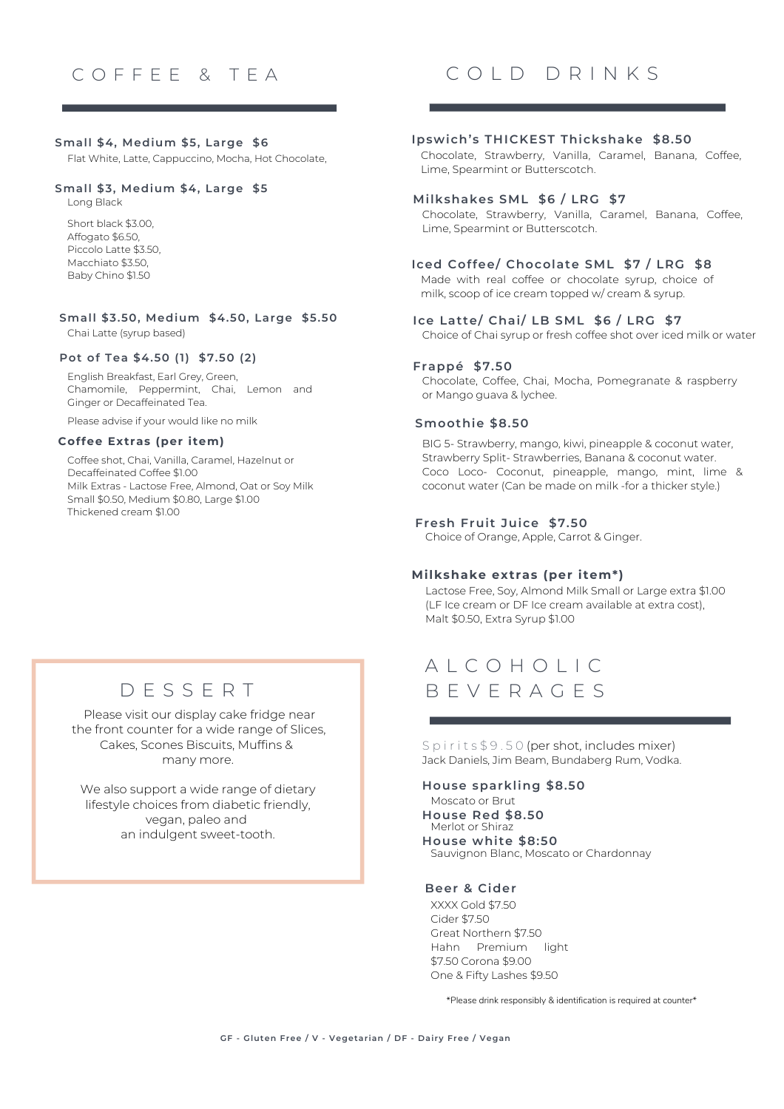#### **Small \$4, Medium \$5, Large \$6**

Flat White, Latte, Cappuccino, Mocha, Hot Chocolate,

#### **Small \$3, Medium \$4, Large \$5**

Long Black

Short black \$3.00, Affogato \$6.50, Piccolo Latte \$3.50, Macchiato \$3.50, Baby Chino \$1.50

Chai Latte (syrup based) **Small \$3.50, Medium \$4.50, Large \$5.50**

#### **Pot of Tea \$4.50 (1) \$7.50 (2)**

English Breakfast, Earl Grey, Green, Chamomile, Peppermint, Chai, Lemon and Ginger or Decaffeinated Tea.

Please advise if your would like no milk

#### **Coffee Extras (per item)**

Coffee shot, Chai, Vanilla, Caramel, Hazelnut or Decaffeinated Coffee \$1.00 Milk Extras - Lactose Free, Almond, Oat or Soy Milk Small \$0.50, Medium \$0.80, Large \$1.00 Thickened cream \$1.00

## C O L D D R I N K S

#### **Ipswich's THICKEST Thickshake \$8.50**

Chocolate, Strawberry, Vanilla, Caramel, Banana, Coffee, Lime, Spearmint or Butterscotch.

#### **Milkshakes SML \$6 / LRG \$7**

Chocolate, Strawberry, Vanilla, Caramel, Banana, Coffee, Lime, Spearmint or Butterscotch.

#### **Iced Coffee/ Chocolate SML \$7 / LRG \$8**

Made with real coffee or chocolate syrup, choice of milk, scoop of ice cream topped w/ cream & syrup.

#### **Ice Lat te/ Chai/ LB SML \$6 / LRG \$7**

Choice of Chai syrup or fresh coffee shot over iced milk or water

#### **Frappé \$7.50**

Chocolate, Coffee, Chai, Mocha, Pomegranate & raspberry or Mango guava & lychee.

#### **Smoothie \$8.50**

BIG 5- Strawberry, mango, kiwi, pineapple & coconut water, Strawberry Split- Strawberries, Banana & coconut water. Coco Loco- Coconut, pineapple, mango, mint, lime & coconut water (Can be made on milk -for a thicker style.)

#### **Fresh Frui t Juice \$7.50**

Choice of Orange, Apple, Carrot & Ginger.

#### **Milkshake extras (per item\*)**

Lactose Free, Soy, Almond Milk Small or Large extra \$1.00 (LF Ice cream or DF Ice cream available at extra cost), Malt \$0.50, Extra Syrup \$1.00

# D E S S E R T

Please visit our display cake fridge near the front counter for a wide range of Slices, Cakes, Scones Biscuits, Muffins & many more.

We also support a wide range of dietary lifestyle choices from diabetic friendly, vegan, paleo and an indulgent sweet-tooth.

# A L C O H O L I C B E V E R A G E S

S p i r i t s \$ 9.50 (per shot, includes mixer) Jack Daniels, Jim Beam, Bundaberg Rum, Vodka.

#### **House sparkling \$8.50**

Moscato or Brut

Merlot or Shiraz **House Red \$8.50 House whi te \$8:50**

Sauvignon Blanc, Moscato or Chardonnay

#### **Beer & Cider**

XXXX Gold \$7.50 Cider \$7.50 Great Northern \$7.50 Hahn Premium light \$7.50 Corona \$9.00 One & Fifty Lashes \$9.50

\*Please drink responsibly & identification is required at counter\*